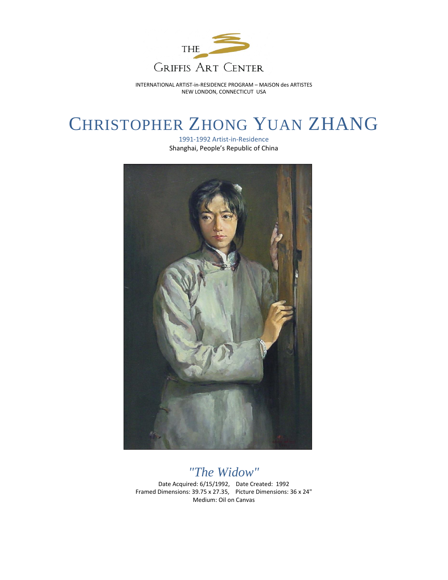

INTERNATIONAL ARTIST-in-RESIDENCE PROGRAM – MAISON des ARTISTES NEW LONDON, CONNECTICUT USA

## CHRISTOPHER ZHONG YUAN ZHANG

1991-1992 Artist-in-Residence Shanghai, People's Republic of China



## *"The Widow"* Date Acquired: 6/15/1992, Date Created: 1992 Framed Dimensions: 39.75 x 27.35, Picture Dimensions: 36 x 24" Medium: Oil on Canvas